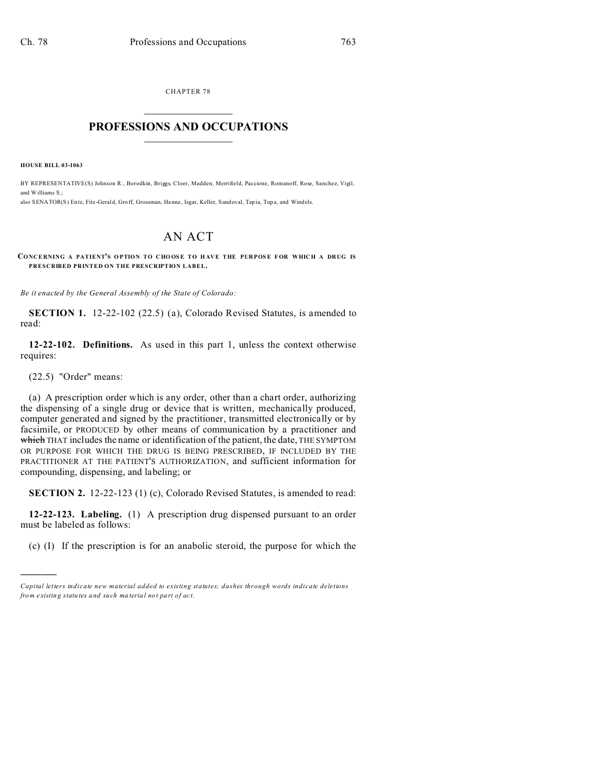CHAPTER 78  $\overline{\phantom{a}}$  , where  $\overline{\phantom{a}}$ 

## **PROFESSIONS AND OCCUPATIONS**  $\frac{1}{2}$  ,  $\frac{1}{2}$  ,  $\frac{1}{2}$  ,  $\frac{1}{2}$  ,  $\frac{1}{2}$  ,  $\frac{1}{2}$  ,  $\frac{1}{2}$

**HOUSE BILL 03-1063**

BY REPRESENTATIVE(S) Johnson R., Borodkin, Briggs, Cloer, Madden, Merrifield, Paccione, Romanoff, Rose, Sanchez, Vigil, and Williams S.; also SENATOR(S) Entz, Fitz -Gerald, Gro ff, Grossman, Hanna , Isgar, Keller, Sandoval, Tap ia, Tupa, and Windels.

## AN ACT

**CONCERNING A PATIENT'S O PTION TO C HO OSE TO H AVE THE PURPOSE F OR WHICH A DRUG IS PRESCRIBED PRINTED ON THE PRESCRIPTION LABEL.**

*Be it enacted by the General Assembly of the State of Colorado:*

**SECTION 1.** 12-22-102 (22.5) (a), Colorado Revised Statutes, is amended to read:

**12-22-102. Definitions.** As used in this part 1, unless the context otherwise requires:

(22.5) "Order" means:

)))))

(a) A prescription order which is any order, other than a chart order, authorizing the dispensing of a single drug or device that is written, mechanically produced, computer generated and signed by the practitioner, transmitted electronically or by facsimile, or PRODUCED by other means of communication by a practitioner and which THAT includes the name or identification of the patient, the date, THE SYMPTOM OR PURPOSE FOR WHICH THE DRUG IS BEING PRESCRIBED, IF INCLUDED BY THE PRACTITIONER AT THE PATIENT'S AUTHORIZATION, and sufficient information for compounding, dispensing, and labeling; or

**SECTION 2.** 12-22-123 (1) (c), Colorado Revised Statutes, is amended to read:

**12-22-123. Labeling.** (1) A prescription drug dispensed pursuant to an order must be labeled as follows:

(c) (I) If the prescription is for an anabolic steroid, the purpose for which the

*Capital letters indicate new material added to existing statutes; dashes through words indicate deletions from e xistin g statu tes a nd such ma teria l no t pa rt of ac t.*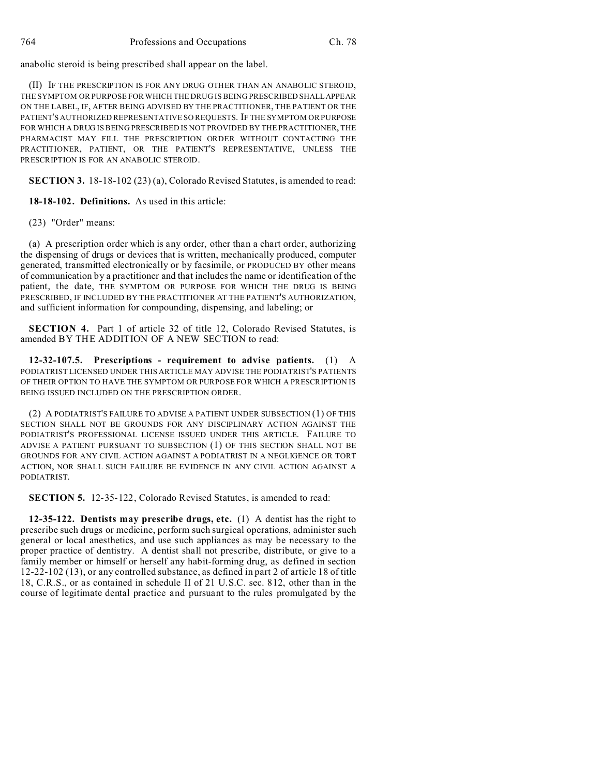anabolic steroid is being prescribed shall appear on the label.

(II) IF THE PRESCRIPTION IS FOR ANY DRUG OTHER THAN AN ANABOLIC STEROID, THE SYMPTOM OR PURPOSE FOR WHICH THE DRUG IS BEING PRESCRIBED SHALLAPPEAR ON THE LABEL, IF, AFTER BEING ADVISED BY THE PRACTITIONER, THE PATIENT OR THE PATIENT'S AUTHORIZED REPRESENTATIVE SO REQUESTS. IF THE SYMPTOM OR PURPOSE FOR WHICH A DRUG IS BEING PRESCRIBED IS NOT PROVIDED BY THE PRACTITIONER, THE PHARMACIST MAY FILL THE PRESCRIPTION ORDER WITHOUT CONTACTING THE PRACTITIONER, PATIENT, OR THE PATIENT'S REPRESENTATIVE, UNLESS THE PRESCRIPTION IS FOR AN ANABOLIC STEROID.

**SECTION 3.** 18-18-102 (23) (a), Colorado Revised Statutes, is amended to read:

**18-18-102. Definitions.** As used in this article:

(23) "Order" means:

(a) A prescription order which is any order, other than a chart order, authorizing the dispensing of drugs or devices that is written, mechanically produced, computer generated, transmitted electronically or by facsimile, or PRODUCED BY other means of communication by a practitioner and that includes the name or identification of the patient, the date, THE SYMPTOM OR PURPOSE FOR WHICH THE DRUG IS BEING PRESCRIBED, IF INCLUDED BY THE PRACTITIONER AT THE PATIENT'S AUTHORIZATION, and sufficient information for compounding, dispensing, and labeling; or

**SECTION 4.** Part 1 of article 32 of title 12, Colorado Revised Statutes, is amended BY THE ADDITION OF A NEW SECTION to read:

**12-32-107.5. Prescriptions - requirement to advise patients.** (1) A PODIATRIST LICENSED UNDER THIS ARTICLE MAY ADVISE THE PODIATRIST'S PATIENTS OF THEIR OPTION TO HAVE THE SYMPTOM OR PURPOSE FOR WHICH A PRESCRIPTION IS BEING ISSUED INCLUDED ON THE PRESCRIPTION ORDER.

(2) A PODIATRIST'S FAILURE TO ADVISE A PATIENT UNDER SUBSECTION (1) OF THIS SECTION SHALL NOT BE GROUNDS FOR ANY DISCIPLINARY ACTION AGAINST THE PODIATRIST'S PROFESSIONAL LICENSE ISSUED UNDER THIS ARTICLE. FAILURE TO ADVISE A PATIENT PURSUANT TO SUBSECTION (1) OF THIS SECTION SHALL NOT BE GROUNDS FOR ANY CIVIL ACTION AGAINST A PODIATRIST IN A NEGLIGENCE OR TORT ACTION, NOR SHALL SUCH FAILURE BE EVIDENCE IN ANY CIVIL ACTION AGAINST A PODIATRIST.

**SECTION 5.** 12-35-122, Colorado Revised Statutes, is amended to read:

**12-35-122. Dentists may prescribe drugs, etc.** (1) A dentist has the right to prescribe such drugs or medicine, perform such surgical operations, administer such general or local anesthetics, and use such appliances as may be necessary to the proper practice of dentistry. A dentist shall not prescribe, distribute, or give to a family member or himself or herself any habit-forming drug, as defined in section 12-22-102 (13), or any controlled substance, as defined in part 2 of article 18 of title 18, C.R.S., or as contained in schedule II of 21 U.S.C. sec. 812, other than in the course of legitimate dental practice and pursuant to the rules promulgated by the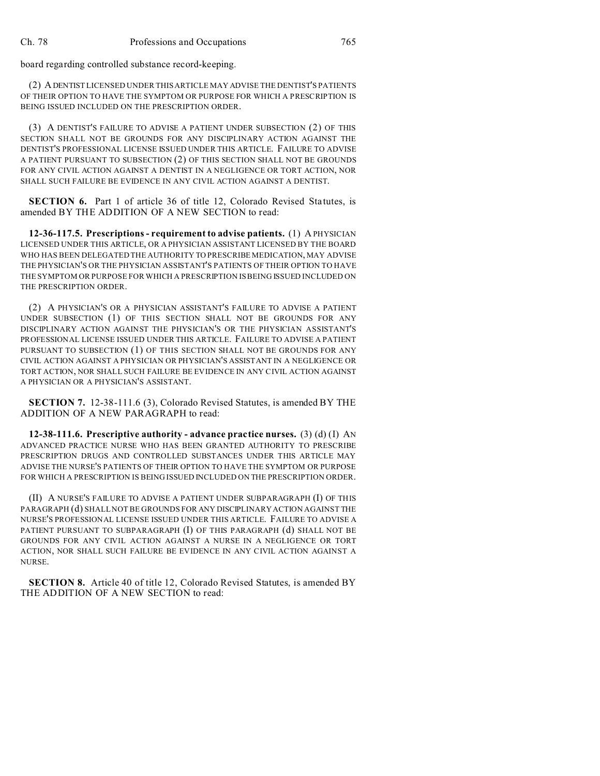board regarding controlled substance record-keeping.

(2) ADENTIST LICENSED UNDER THIS ARTICLE MAY ADVISE THE DENTIST'S PATIENTS OF THEIR OPTION TO HAVE THE SYMPTOM OR PURPOSE FOR WHICH A PRESCRIPTION IS BEING ISSUED INCLUDED ON THE PRESCRIPTION ORDER.

(3) A DENTIST'S FAILURE TO ADVISE A PATIENT UNDER SUBSECTION (2) OF THIS SECTION SHALL NOT BE GROUNDS FOR ANY DISCIPLINARY ACTION AGAINST THE DENTIST'S PROFESSIONAL LICENSE ISSUED UNDER THIS ARTICLE. FAILURE TO ADVISE A PATIENT PURSUANT TO SUBSECTION (2) OF THIS SECTION SHALL NOT BE GROUNDS FOR ANY CIVIL ACTION AGAINST A DENTIST IN A NEGLIGENCE OR TORT ACTION, NOR SHALL SUCH FAILURE BE EVIDENCE IN ANY CIVIL ACTION AGAINST A DENTIST.

**SECTION 6.** Part 1 of article 36 of title 12, Colorado Revised Statutes, is amended BY THE ADDITION OF A NEW SECTION to read:

**12-36-117.5. Prescriptions - requirement to advise patients.** (1) A PHYSICIAN LICENSED UNDER THIS ARTICLE, OR A PHYSICIAN ASSISTANT LICENSED BY THE BOARD WHO HAS BEEN DELEGATED THE AUTHORITY TO PRESCRIBE MEDICATION, MAY ADVISE THE PHYSICIAN'S OR THE PHYSICIAN ASSISTANT'S PATIENTS OF THEIR OPTION TO HAVE THE SYMPTOM OR PURPOSE FOR WHICH A PRESCRIPTION IS BEING ISSUED INCLUDED ON THE PRESCRIPTION ORDER.

(2) A PHYSICIAN'S OR A PHYSICIAN ASSISTANT'S FAILURE TO ADVISE A PATIENT UNDER SUBSECTION (1) OF THIS SECTION SHALL NOT BE GROUNDS FOR ANY DISCIPLINARY ACTION AGAINST THE PHYSICIAN'S OR THE PHYSICIAN ASSISTANT'S PROFESSIONAL LICENSE ISSUED UNDER THIS ARTICLE. FAILURE TO ADVISE A PATIENT PURSUANT TO SUBSECTION (1) OF THIS SECTION SHALL NOT BE GROUNDS FOR ANY CIVIL ACTION AGAINST A PHYSICIAN OR PHYSICIAN'S ASSISTANT IN A NEGLIGENCE OR TORT ACTION, NOR SHALL SUCH FAILURE BE EVIDENCE IN ANY CIVIL ACTION AGAINST A PHYSICIAN OR A PHYSICIAN'S ASSISTANT.

**SECTION 7.** 12-38-111.6 (3), Colorado Revised Statutes, is amended BY THE ADDITION OF A NEW PARAGRAPH to read:

**12-38-111.6. Prescriptive authority - advance practice nurses.** (3) (d) (I) AN ADVANCED PRACTICE NURSE WHO HAS BEEN GRANTED AUTHORITY TO PRESCRIBE PRESCRIPTION DRUGS AND CONTROLLED SUBSTANCES UNDER THIS ARTICLE MAY ADVISE THE NURSE'S PATIENTS OF THEIR OPTION TO HAVE THE SYMPTOM OR PURPOSE FOR WHICH A PRESCRIPTION IS BEING ISSUED INCLUDED ON THE PRESCRIPTION ORDER.

(II) A NURSE'S FAILURE TO ADVISE A PATIENT UNDER SUBPARAGRAPH (I) OF THIS PARAGRAPH (d) SHALL NOT BE GROUNDS FOR ANY DISCIPLINARY ACTION AGAINST THE NURSE'S PROFESSIONAL LICENSE ISSUED UNDER THIS ARTICLE. FAILURE TO ADVISE A PATIENT PURSUANT TO SUBPARAGRAPH (I) OF THIS PARAGRAPH (d) SHALL NOT BE GROUNDS FOR ANY CIVIL ACTION AGAINST A NURSE IN A NEGLIGENCE OR TORT ACTION, NOR SHALL SUCH FAILURE BE EVIDENCE IN ANY CIVIL ACTION AGAINST A NURSE.

**SECTION 8.** Article 40 of title 12, Colorado Revised Statutes, is amended BY THE ADDITION OF A NEW SECTION to read: